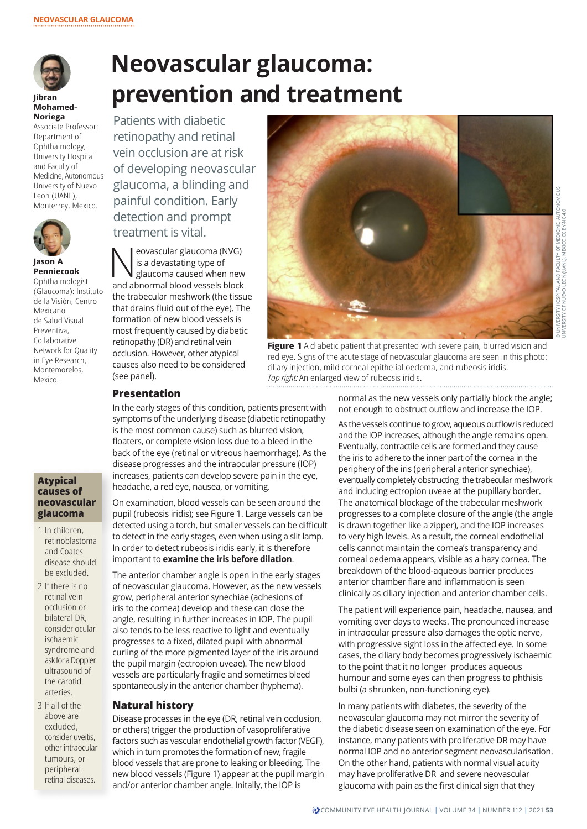

#### **Jibran Mohamed-Noriega**

Associate Professor: Department of Ophthalmology, University Hospital and Faculty of Medicine, Autonomous University of Nuevo Leon (UANL), Monterrey, Mexico.



#### **Jason A Penniecook**  Ophthalmologist (Glaucoma): Instituto de la Visión, Centro Mexicano de Salud Visual Preventiva, Collaborative Network for Quality in Eye Research, Montemorelos, Mexico.

## **Atypical causes of neovascular glaucoma**

- 1 In children, retinoblastoma and Coates disease should be excluded.
- 2 If there is no retinal vein occlusion or bilateral DR, consider ocular ischaemic syndrome and ask for a Doppler ultrasound of the carotid arteries.
- 3 If all of the above are excluded, consider uveitis, other intraocular tumours, or peripheral retinal diseases.

# **Neovascular glaucoma: prevention and treatment**

Patients with diabetic retinopathy and retinal vein occlusion are at risk of developing neovascular glaucoma, a blinding and painful condition. Early detection and prompt treatment is vital.

 $\sum_{\substack{\text{is a devastating type of} \\ \text{glaucoma caused when new}}}$ is a devastating type of and abnormal blood vessels block the trabecular meshwork (the tissue that drains fluid out of the eye). The formation of new blood vessels is most frequently caused by diabetic retinopathy (DR) and retinal vein occlusion. However, other atypical causes also need to be considered (see panel).



**Figure 1** A diabetic patient that presented with severe pain, blurred vision and red eye. Signs of the acute stage of neovascular glaucoma are seen in this photo: ciliary injection, mild corneal epithelial oedema, and rubeosis iridis. *Top right:* An enlarged view of rubeosis iridis.

# **Presentation**

In the early stages of this condition, patients present with symptoms of the underlying disease (diabetic retinopathy is the most common cause) such as blurred vision, floaters, or complete vision loss due to a bleed in the back of the eye (retinal or vitreous haemorrhage). As the disease progresses and the intraocular pressure (IOP) increases, patients can develop severe pain in the eye, headache, a red eye, nausea, or vomiting.

On examination, blood vessels can be seen around the pupil (rubeosis iridis); see Figure 1. Large vessels can be detected using a torch, but smaller vessels can be difficult to detect in the early stages, even when using a slit lamp. In order to detect rubeosis iridis early, it is therefore important to **examine the iris before dilation**.

The anterior chamber angle is open in the early stages of neovascular glaucoma. However, as the new vessels grow, peripheral anterior synechiae (adhesions of iris to the cornea) develop and these can close the angle, resulting in further increases in IOP. The pupil also tends to be less reactive to light and eventually progresses to a fixed, dilated pupil with abnormal curling of the more pigmented layer of the iris around the pupil margin (ectropion uveae). The new blood vessels are particularly fragile and sometimes bleed spontaneously in the anterior chamber (hyphema).

# **Natural history**

Disease processes in the eye (DR, retinal vein occlusion, or others) trigger the production of vasoproliferative factors such as vascular endothelial growth factor (VEGF), which in turn promotes the formation of new, fragile blood vessels that are prone to leaking or bleeding. The new blood vessels (Figure 1) appear at the pupil margin and/or anterior chamber angle. Initally, the IOP is

normal as the new vessels only partially block the angle; not enough to obstruct outflow and increase the IOP.

As the vessels continue to grow, aqueous outflow is reduced and the IOP increases, although the angle remains open. Eventually, contractile cells are formed and they cause the iris to adhere to the inner part of the cornea in the periphery of the iris (peripheral anterior synechiae), eventually completely obstructing the trabecular meshwork and inducing ectropion uveae at the pupillary border. The anatomical blockage of the trabecular meshwork progresses to a complete closure of the angle (the angle is drawn together like a zipper), and the IOP increases to very high levels. As a result, the corneal endothelial cells cannot maintain the cornea's transparency and corneal oedema appears, visible as a hazy cornea. The breakdown of the blood-aqueous barrier produces anterior chamber flare and inflammation is seen clinically as ciliary injection and anterior chamber cells.

The patient will experience pain, headache, nausea, and vomiting over days to weeks. The pronounced increase in intraocular pressure also damages the optic nerve, with progressive sight loss in the affected eye. In some cases, the ciliary body becomes progressively ischaemic to the point that it no longer produces aqueous humour and some eyes can then progress to phthisis bulbi (a shrunken, non-functioning eye).

In many patients with diabetes, the severity of the neovascular glaucoma may not mirror the severity of the diabetic disease seen on examination of the eye. For instance, many patients with proliferative DR may have normal IOP and no anterior segment neovascularisation. On the other hand, patients with normal visual acuity may have proliferative DR and severe neovascular glaucoma with pain as the first clinical sign that they